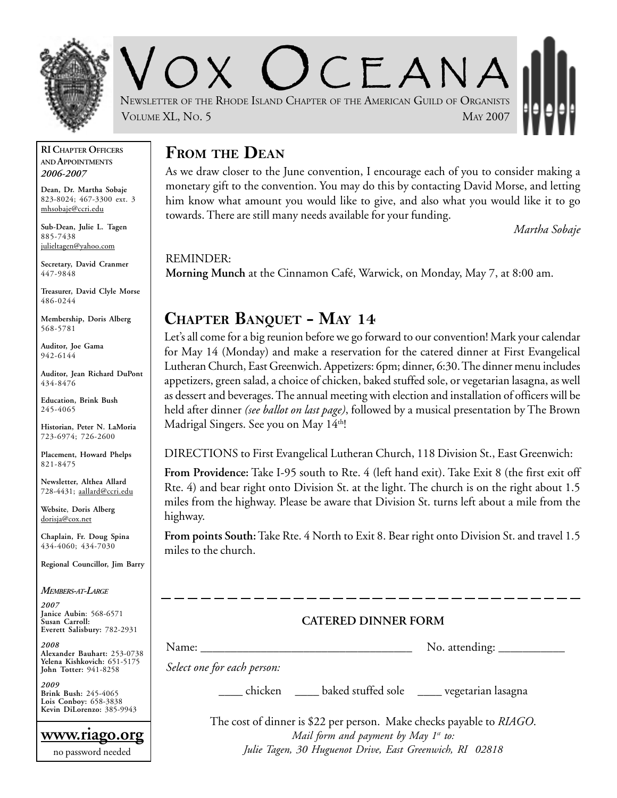

 $C$   $F$   $A$  N  $A$ NEWSLETTER OF THE RHODE ISLAND CHAPTER OF THE AMERICAN GUILD OF ORGANISTS VOLUME XL, No. 5 MAY 2007

#### **RI CHAPTER OFFICERS AND APPOINTMENTS** *2006-2007*

**Dean, Dr. Martha Sobaje** 823-8024; 467-3300 ext. 3 mhsobaje@ccri.edu

**Sub-Dean, Julie L. Tagen** 885-7438 julieltagen@yahoo.com

**Secretary, David Cranmer** 447-9848

**Treasurer, David Clyle Morse** 486-0244

**Membership, Doris Alberg** 568-5781

**Auditor, Joe Gama** 942-6144

**Auditor, Jean Richard DuPont** 434-8476

**Education, Brink Bush** 245-4065

**Historian, Peter N. LaMoria** 723-6974; 726-2600

**Placement, Howard Phelps** 821-8475

**Newsletter, Althea Allard** 728-4431; aallard@ccri.edu

**Website**, **Doris Alberg** dorisja@cox.net

**Chaplain, Fr. Doug Spina** 434-4060; 434-7030

**Regional Councillor, Jim Barry**

*MEMBERS-AT-LARGE*

*2007* **Janice Aubin**: 568-6571 **Susan Carroll: Everett Salisbury:** 782-2931

*2008* **Alexander Bauhart:** 253-0738 **Yelena Kishkovich:** 651-5175 **John Totter:** 941-8258

*2009* **Brink Bush:** 245-4065 **Lois Conboy:** 658-3838 **Kevin DiLorenzo:** 385-9943

**www.riago.org** no password needed

#### **FROM THE DEAN**

As we draw closer to the June convention, I encourage each of you to consider making a monetary gift to the convention. You may do this by contacting David Morse, and letting him know what amount you would like to give, and also what you would like it to go towards. There are still many needs available for your funding.

*Martha Sobaje*

REMINDER: **Morning Munch** at the Cinnamon Café, Warwick, on Monday, May 7, at 8:00 am.

## **CHAPTER BANQUET - MAY 14**

Let's all come for a big reunion before we go forward to our convention! Mark your calendar for May 14 (Monday) and make a reservation for the catered dinner at First Evangelical Lutheran Church, East Greenwich. Appetizers: 6pm; dinner, 6:30. The dinner menu includes appetizers, green salad, a choice of chicken, baked stuffed sole, or vegetarian lasagna, as well as dessert and beverages. The annual meeting with election and installation of officers will be held after dinner *(see ballot on last page)*, followed by a musical presentation by The Brown Madrigal Singers. See you on May  $14<sup>th</sup>$ !

DIRECTIONS to First Evangelical Lutheran Church, 118 Division St., East Greenwich:

**From Providence:** Take I-95 south to Rte. 4 (left hand exit). Take Exit 8 (the first exit off Rte. 4) and bear right onto Division St. at the light. The church is on the right about 1.5 miles from the highway. Please be aware that Division St. turns left about a mile from the highway.

**From points South:** Take Rte. 4 North to Exit 8. Bear right onto Division St. and travel 1.5 miles to the church.

#### **CATERED DINNER FORM**

Name: \_\_\_\_\_\_\_\_\_\_\_\_\_\_\_\_\_\_\_\_\_\_\_\_\_\_\_\_\_\_\_\_\_\_\_ No. attending: \_\_\_\_\_\_\_\_\_\_\_

*Select one for each person:*

\_\_\_\_ chicken \_\_\_\_ baked stuffed sole \_\_\_\_ vegetarian lasagna

The cost of dinner is \$22 per person. Make checks payable to *RIAGO*. *Mail form and payment by May 1st to: Julie Tagen, 30 Huguenot Drive, East Greenwich, RI 02818*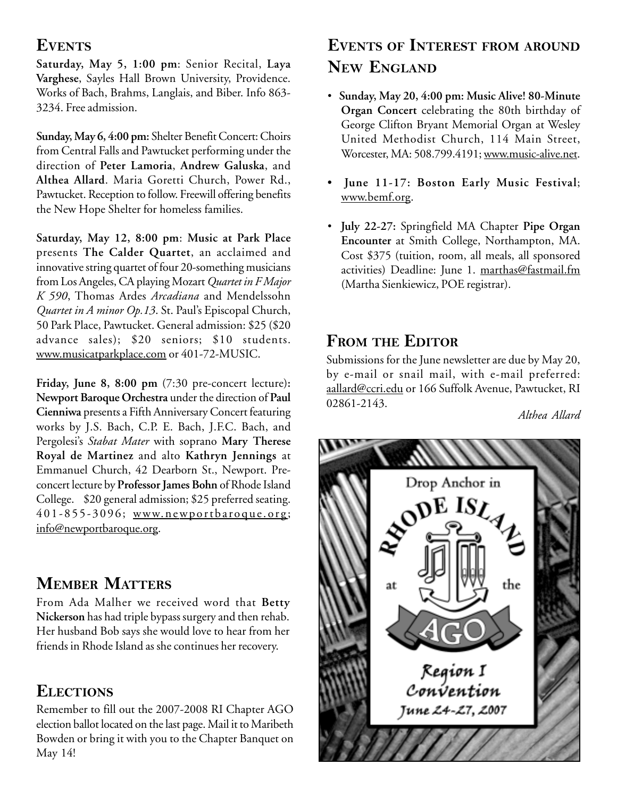#### **EVENTS**

**Saturday, May 5, 1:00 pm**: Senior Recital, **Laya Varghese**, Sayles Hall Brown University, Providence. Works of Bach, Brahms, Langlais, and Biber. Info 863- 3234. Free admission.

**Sunday, May 6, 4:00 pm:** Shelter Benefit Concert: Choirs from Central Falls and Pawtucket performing under the direction of **Peter Lamoria**, **Andrew Galuska**, and **Althea Allard**. Maria Goretti Church, Power Rd., Pawtucket. Reception to follow. Freewill offering benefits the New Hope Shelter for homeless families.

**Saturday, May 12, 8:00 pm**: **Music at Park Place** presents **The Calder Quartet**, an acclaimed and innovative string quartet of four 20-something musicians from Los Angeles, CA playing Mozart *Quartet in F Major K 590*, Thomas Ardes *Arcadiana* and Mendelssohn *Quartet in A minor Op.13*. St. Paul's Episcopal Church, 50 Park Place, Pawtucket. General admission: \$25 (\$20 advance sales); \$20 seniors; \$10 students. www.musicatparkplace.com or 401-72-MUSIC.

**Friday, June 8, 8:00 pm** (7:30 pre-concert lecture)**: Newport Baroque Orchestra** under the direction of **Paul Cienniwa** presents a Fifth Anniversary Concert featuring works by J.S. Bach, C.P. E. Bach, J.F.C. Bach, and Pergolesi's *Stabat Mater* with soprano **Mary Therese Royal de Martinez** and alto **Kathryn Jennings** at Emmanuel Church, 42 Dearborn St., Newport. Preconcert lecture by **Professor James Bohn** of Rhode Island College. \$20 general admission; \$25 preferred seating. 401-855-3096; www.newportbaroque.org; info@newportbaroque.org.

## **MEMBER MATTERS**

From Ada Malher we received word that **Betty Nickerson** has had triple bypass surgery and then rehab. Her husband Bob says she would love to hear from her friends in Rhode Island as she continues her recovery.

#### **ELECTIONS**

Remember to fill out the 2007-2008 RI Chapter AGO election ballot located on the last page. Mail it to Maribeth Bowden or bring it with you to the Chapter Banquet on May 14!

# **EVENTS OF INTEREST FROM AROUND NEW ENGLAND**

- **Sunday, May 20, 4:00 pm: Music Alive! 80-Minute Organ Concert** celebrating the 80th birthday of George Clifton Bryant Memorial Organ at Wesley United Methodist Church, 114 Main Street, Worcester, MA: 508.799.4191; www.music-alive.net.
- **June 11-17: Boston Early Music Festival**; www.bemf.org.
- **July 22-27:** Springfield MA Chapter **Pipe Organ Encounter** at Smith College, Northampton, MA. Cost \$375 (tuition, room, all meals, all sponsored activities) Deadline: June 1. marthas@fastmail.fm (Martha Sienkiewicz, POE registrar).

#### **FROM THE EDITOR**

Submissions for the June newsletter are due by May 20, by e-mail or snail mail, with e-mail preferred: aallard@ccri.edu or 166 Suffolk Avenue, Pawtucket, RI 02861-2143.

*Althea Allard*